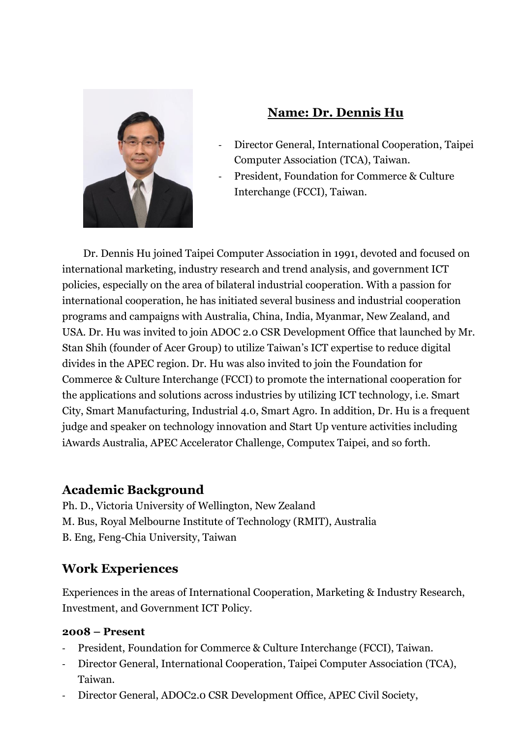

# **Name: Dr. Dennis Hu**

- Director General, International Cooperation, Taipei Computer Association (TCA), Taiwan.
- President, Foundation for Commerce & Culture Interchange (FCCI), Taiwan.

Dr. Dennis Hu joined Taipei Computer Association in 1991, devoted and focused on international marketing, industry research and trend analysis, and government ICT policies, especially on the area of bilateral industrial cooperation. With a passion for international cooperation, he has initiated several business and industrial cooperation programs and campaigns with Australia, China, India, Myanmar, New Zealand, and USA. Dr. Hu was invited to join ADOC 2.0 CSR Development Office that launched by Mr. Stan Shih (founder of Acer Group) to utilize Taiwan's ICT expertise to reduce digital divides in the APEC region. Dr. Hu was also invited to join the Foundation for Commerce & Culture Interchange (FCCI) to promote the international cooperation for the applications and solutions across industries by utilizing ICT technology, i.e. Smart City, Smart Manufacturing, Industrial 4.0, Smart Agro. In addition, Dr. Hu is a frequent judge and speaker on technology innovation and Start Up venture activities including iAwards Australia, APEC Accelerator Challenge, Computex Taipei, and so forth.

### **Academic Background**

Ph. D., Victoria University of Wellington, New Zealand M. Bus, Royal Melbourne Institute of Technology (RMIT), Australia B. Eng, Feng-Chia University, Taiwan

# **Work Experiences**

Experiences in the areas of International Cooperation, Marketing & Industry Research, Investment, and Government ICT Policy.

### **2008 – Present**

- President, Foundation for Commerce & Culture Interchange (FCCI), Taiwan.
- Director General, International Cooperation, Taipei Computer Association (TCA), Taiwan.
- Director General, ADOC2.0 CSR Development Office, APEC Civil Society,